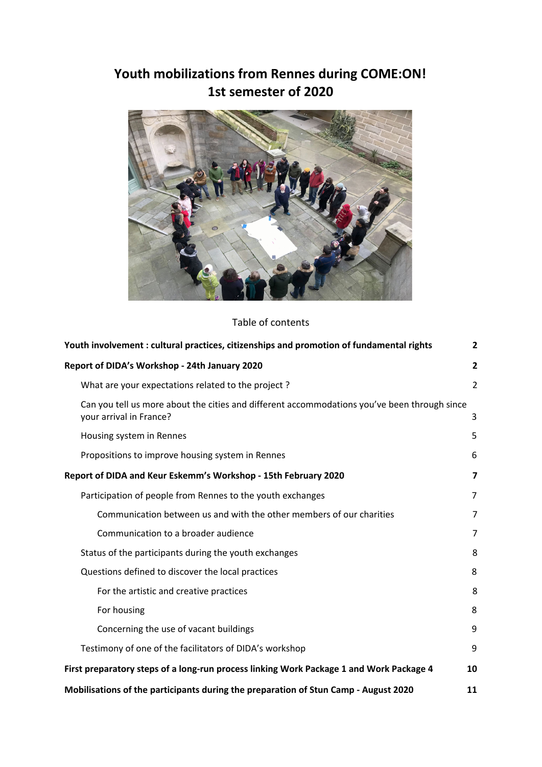# **Youth mobilizations from Rennes during COME:ON! 1st semester of 2020**



Table of contents

| Youth involvement : cultural practices, citizenships and promotion of fundamental rights                                | $\overline{2}$          |
|-------------------------------------------------------------------------------------------------------------------------|-------------------------|
| Report of DIDA's Workshop - 24th January 2020                                                                           | $\overline{2}$          |
| What are your expectations related to the project?                                                                      | $\overline{2}$          |
| Can you tell us more about the cities and different accommodations you've been through since<br>your arrival in France? | 3                       |
| Housing system in Rennes                                                                                                | 5                       |
| Propositions to improve housing system in Rennes                                                                        | 6                       |
| Report of DIDA and Keur Eskemm's Workshop - 15th February 2020                                                          | $\overline{\mathbf{z}}$ |
| Participation of people from Rennes to the youth exchanges                                                              | 7                       |
| Communication between us and with the other members of our charities                                                    | 7                       |
| Communication to a broader audience                                                                                     | $\overline{7}$          |
| Status of the participants during the youth exchanges                                                                   | 8                       |
| Questions defined to discover the local practices                                                                       | 8                       |
| For the artistic and creative practices                                                                                 | 8                       |
| For housing                                                                                                             | 8                       |
| Concerning the use of vacant buildings                                                                                  | 9                       |
| Testimony of one of the facilitators of DIDA's workshop                                                                 | 9                       |
| First preparatory steps of a long-run process linking Work Package 1 and Work Package 4                                 | 10                      |
| Mobilisations of the participants during the preparation of Stun Camp - August 2020                                     | 11                      |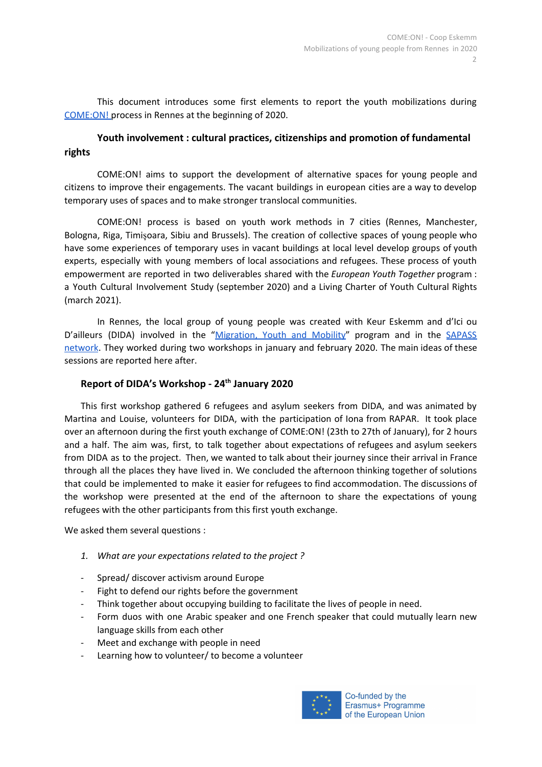This document introduces some first elements to report the youth mobilizations during [COME:ON!](https://docs.google.com/document/d/1hzuPp4t4LxTwIvOaJWTo3_B-hioXKFWk3qw2nqoNBOk/edit?usp=sharing) process in Rennes at the beginning of 2020.

# <span id="page-1-0"></span>**Youth involvement : cultural practices, citizenships and promotion of fundamental rights**

COME:ON! aims to support the development of alternative spaces for young people and citizens to improve their engagements. The vacant buildings in european cities are a way to develop temporary uses of spaces and to make stronger translocal communities.

COME:ON! process is based on youth work methods in 7 cities (Rennes, Manchester, Bologna, Riga, Timișoara, Sibiu and Brussels). The creation of collective spaces of young people who have some experiences of temporary uses in vacant buildings at local level develop groups of youth experts, especially with young members of local associations and refugees. These process of youth empowerment are reported in two deliverables shared with the *European Youth Together* program : a Youth Cultural Involvement Study (september 2020) and a Living Charter of Youth Cultural Rights (march 2021).

In Rennes, the local group of young people was created with Keur Eskemm and d'Ici ou D'ailleurs (DIDA) involved in the ["Migration,](http://mymeurope.eu/) Youth and Mobility" program and in the [SAPASS](https://sapass.eu/) [network](https://sapass.eu/). They worked during two workshops in january and february 2020. The main ideas of these sessions are reported here after.

# <span id="page-1-1"></span>**Report of DIDA's Workshop - 24th January 2020**

This first workshop gathered 6 refugees and asylum seekers from DIDA, and was animated by Martina and Louise, volunteers for DIDA, with the participation of Iona from RAPAR. It took place over an afternoon during the first youth exchange of COME:ON! (23th to 27th of January), for 2 hours and a half. The aim was, first, to talk together about expectations of refugees and asylum seekers from DIDA as to the project. Then, we wanted to talk about their journey since their arrival in France through all the places they have lived in. We concluded the afternoon thinking together of solutions that could be implemented to make it easier for refugees to find accommodation. The discussions of the workshop were presented at the end of the afternoon to share the expectations of young refugees with the other participants from this first youth exchange.

We asked them several questions :

- <span id="page-1-2"></span>*1. What are your expectations related to the project ?*
- Spread/ discover activism around Europe
- Fight to defend our rights before the government
- Think together about occupying building to facilitate the lives of people in need.
- Form duos with one Arabic speaker and one French speaker that could mutually learn new language skills from each other
- Meet and exchange with people in need
- Learning how to volunteer/ to become a volunteer

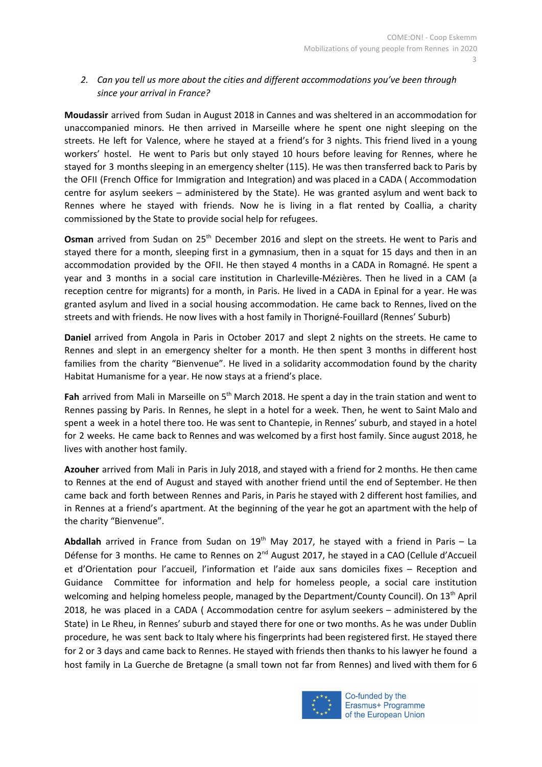## <span id="page-2-0"></span>*2. Can you tell us more about the cities and different accommodations you've been through since your arrival in France?*

**Moudassir** arrived from Sudan in August 2018 in Cannes and was sheltered in an accommodation for unaccompanied minors. He then arrived in Marseille where he spent one night sleeping on the streets. He left for Valence, where he stayed at a friend's for 3 nights. This friend lived in a young workers' hostel. He went to Paris but only stayed 10 hours before leaving for Rennes, where he stayed for 3 months sleeping in an emergency shelter (115). He was then transferred back to Paris by the OFII (French Office for Immigration and Integration) and was placed in a CADA ( Accommodation centre for asylum seekers – administered by the State). He was granted asylum and went back to Rennes where he stayed with friends. Now he is living in a flat rented by Coallia, a charity commissioned by the State to provide social help for refugees.

Osman arrived from Sudan on 25<sup>th</sup> December 2016 and slept on the streets. He went to Paris and stayed there for a month, sleeping first in a gymnasium, then in a squat for 15 days and then in an accommodation provided by the OFII. He then stayed 4 months in a CADA in Romagné. He spent a year and 3 months in a social care institution in Charleville-Mézières. Then he lived in a CAM (a reception centre for migrants) for a month, in Paris. He lived in a CADA in Epinal for a year. He was granted asylum and lived in a social housing accommodation. He came back to Rennes, lived on the streets and with friends. He now lives with a host family in Thorigné-Fouillard (Rennes' Suburb)

**Daniel** arrived from Angola in Paris in October 2017 and slept 2 nights on the streets. He came to Rennes and slept in an emergency shelter for a month. He then spent 3 months in different host families from the charity "Bienvenue". He lived in a solidarity accommodation found by the charity Habitat Humanisme for a year. He now stays at a friend's place.

Fah arrived from Mali in Marseille on 5<sup>th</sup> March 2018. He spent a day in the train station and went to Rennes passing by Paris. In Rennes, he slept in a hotel for a week. Then, he went to Saint Malo and spent a week in a hotel there too. He was sent to Chantepie, in Rennes' suburb, and stayed in a hotel for 2 weeks. He came back to Rennes and was welcomed by a first host family. Since august 2018, he lives with another host family.

**Azouher** arrived from Mali in Paris in July 2018, and stayed with a friend for 2 months. He then came to Rennes at the end of August and stayed with another friend until the end of September. He then came back and forth between Rennes and Paris, in Paris he stayed with 2 different host families, and in Rennes at a friend's apartment. At the beginning of the year he got an apartment with the help of the charity "Bienvenue".

Abdallah arrived in France from Sudan on 19<sup>th</sup> May 2017, he stayed with a friend in Paris – La Défense for 3 months. He came to Rennes on 2<sup>nd</sup> August 2017, he stayed in a CAO (Cellule d'Accueil et d'Orientation pour l'accueil, l'information et l'aide aux sans domiciles fixes - Reception and Guidance Committee for information and help for homeless people, a social care institution welcoming and helping homeless people, managed by the Department/County Council). On 13<sup>th</sup> April 2018, he was placed in a CADA ( Accommodation centre for asylum seekers – administered by the State) in Le Rheu, in Rennes' suburb and stayed there for one or two months. As he was under Dublin procedure, he was sent back to Italy where his fingerprints had been registered first. He stayed there for 2 or 3 days and came back to Rennes. He stayed with friends then thanks to his lawyer he found a host family in La Guerche de Bretagne (a small town not far from Rennes) and lived with them for 6



Co-funded by the Erasmus+ Programme of the European Union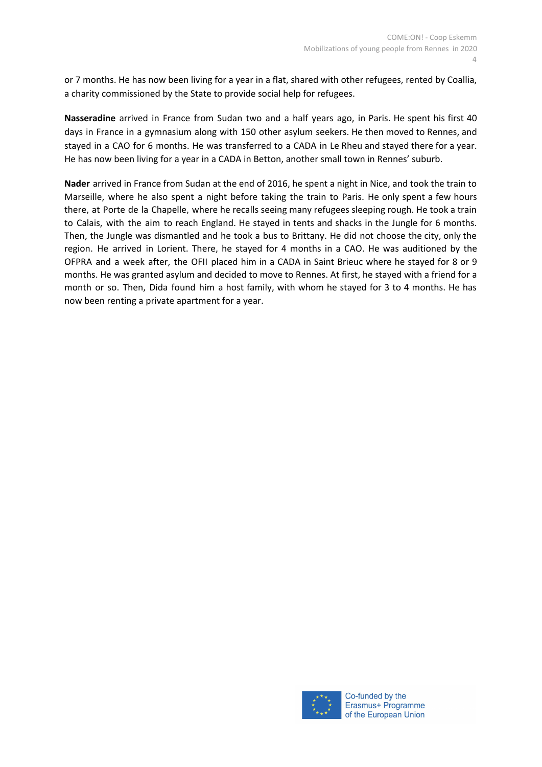or 7 months. He has now been living for a year in a flat, shared with other refugees, rented by Coallia, a charity commissioned by the State to provide social help for refugees.

**Nasseradine** arrived in France from Sudan two and a half years ago, in Paris. He spent his first 40 days in France in a gymnasium along with 150 other asylum seekers. He then moved to Rennes, and stayed in a CAO for 6 months. He was transferred to a CADA in Le Rheu and stayed there for a year. He has now been living for a year in a CADA in Betton, another small town in Rennes' suburb.

**Nader** arrived in France from Sudan at the end of 2016, he spent a night in Nice, and took the train to Marseille, where he also spent a night before taking the train to Paris. He only spent a few hours there, at Porte de la Chapelle, where he recalls seeing many refugees sleeping rough. He took a train to Calais, with the aim to reach England. He stayed in tents and shacks in the Jungle for 6 months. Then, the Jungle was dismantled and he took a bus to Brittany. He did not choose the city, only the region. He arrived in Lorient. There, he stayed for 4 months in a CAO. He was auditioned by the OFPRA and a week after, the OFII placed him in a CADA in Saint Brieuc where he stayed for 8 or 9 months. He was granted asylum and decided to move to Rennes. At first, he stayed with a friend for a month or so. Then, Dida found him a host family, with whom he stayed for 3 to 4 months. He has now been renting a private apartment for a year.

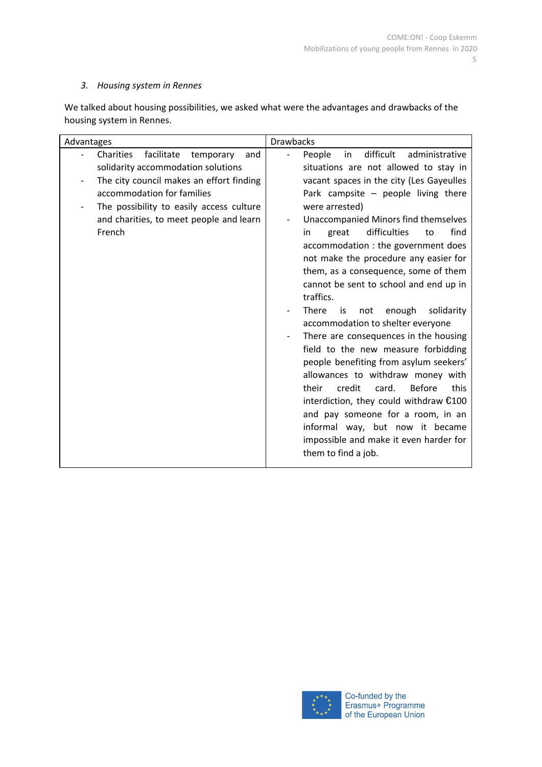## <span id="page-4-0"></span>*3. Housing system in Rennes*

We talked about housing possibilities, we asked what were the advantages and drawbacks of the housing system in Rennes.

| Advantages                                                                                                                                                                                                                                                   | <b>Drawbacks</b>                                                                                                                                                                                                                                                                                                                                                                                                                                                                                                                                                                                                                                                                                                                                                                                                                                                                                                                                            |  |
|--------------------------------------------------------------------------------------------------------------------------------------------------------------------------------------------------------------------------------------------------------------|-------------------------------------------------------------------------------------------------------------------------------------------------------------------------------------------------------------------------------------------------------------------------------------------------------------------------------------------------------------------------------------------------------------------------------------------------------------------------------------------------------------------------------------------------------------------------------------------------------------------------------------------------------------------------------------------------------------------------------------------------------------------------------------------------------------------------------------------------------------------------------------------------------------------------------------------------------------|--|
| Charities<br>facilitate<br>temporary<br>and<br>solidarity accommodation solutions<br>The city council makes an effort finding<br>accommodation for families<br>The possibility to easily access culture<br>and charities, to meet people and learn<br>French | difficult<br>administrative<br>People<br>in<br>situations are not allowed to stay in<br>vacant spaces in the city (Les Gayeulles<br>Park campsite $-$ people living there<br>were arrested)<br>Unaccompanied Minors find themselves<br>difficulties<br>find<br>great<br>to<br>in<br>accommodation : the government does<br>not make the procedure any easier for<br>them, as a consequence, some of them<br>cannot be sent to school and end up in<br>traffics.<br>There<br>enough<br>solidarity<br>not<br>is<br>accommodation to shelter everyone<br>There are consequences in the housing<br>field to the new measure forbidding<br>people benefiting from asylum seekers'<br>allowances to withdraw money with<br>their<br>credit<br><b>Before</b><br>this<br>card.<br>interdiction, they could withdraw $£100$<br>and pay someone for a room, in an<br>informal way, but now it became<br>impossible and make it even harder for<br>them to find a job. |  |

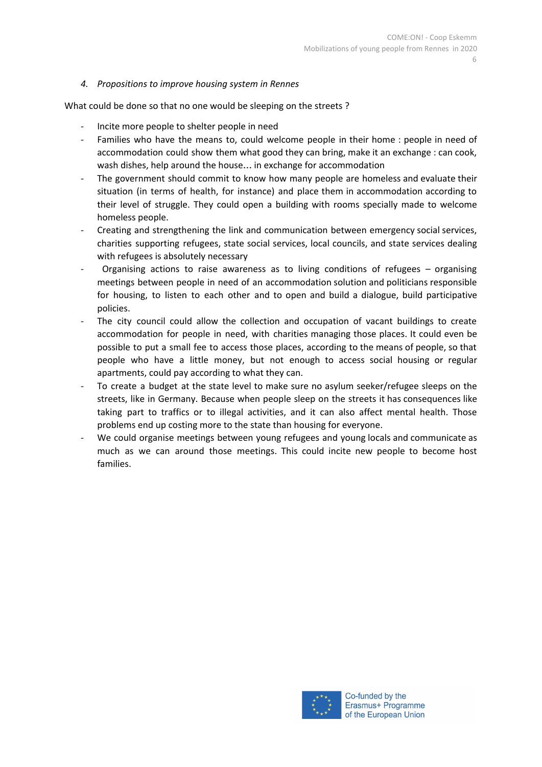#### <span id="page-5-0"></span>*4. Propositions to improve housing system in Rennes*

What could be done so that no one would be sleeping on the streets ?

- Incite more people to shelter people in need
- Families who have the means to, could welcome people in their home : people in need of accommodation could show them what good they can bring, make it an exchange : can cook, wash dishes, help around the house… in exchange for accommodation
- The government should commit to know how many people are homeless and evaluate their situation (in terms of health, for instance) and place them in accommodation according to their level of struggle. They could open a building with rooms specially made to welcome homeless people.
- Creating and strengthening the link and communication between emergency social services, charities supporting refugees, state social services, local councils, and state services dealing with refugees is absolutely necessary
- Organising actions to raise awareness as to living conditions of refugees  $-$  organising meetings between people in need of an accommodation solution and politicians responsible for housing, to listen to each other and to open and build a dialogue, build participative policies.
- The city council could allow the collection and occupation of vacant buildings to create accommodation for people in need, with charities managing those places. It could even be possible to put a small fee to access those places, according to the means of people, so that people who have a little money, but not enough to access social housing or regular apartments, could pay according to what they can.
- To create a budget at the state level to make sure no asylum seeker/refugee sleeps on the streets, like in Germany. Because when people sleep on the streets it has consequences like taking part to traffics or to illegal activities, and it can also affect mental health. Those problems end up costing more to the state than housing for everyone.
- We could organise meetings between young refugees and young locals and communicate as much as we can around those meetings. This could incite new people to become host families.

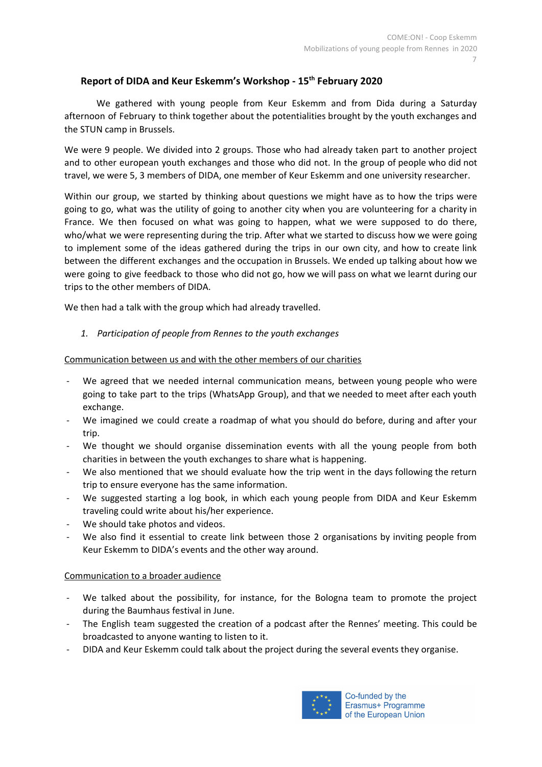# <span id="page-6-0"></span>**Report of DIDA and Keur Eskemm's Workshop - 15th February 2020**

We gathered with young people from Keur Eskemm and from Dida during a Saturday afternoon of February to think together about the potentialities brought by the youth exchanges and the STUN camp in Brussels.

We were 9 people. We divided into 2 groups. Those who had already taken part to another project and to other european youth exchanges and those who did not. In the group of people who did not travel, we were 5, 3 members of DIDA, one member of Keur Eskemm and one university researcher.

Within our group, we started by thinking about questions we might have as to how the trips were going to go, what was the utility of going to another city when you are volunteering for a charity in France. We then focused on what was going to happen, what we were supposed to do there, who/what we were representing during the trip. After what we started to discuss how we were going to implement some of the ideas gathered during the trips in our own city, and how to create link between the different exchanges and the occupation in Brussels. We ended up talking about how we were going to give feedback to those who did not go, how we will pass on what we learnt during our trips to the other members of DIDA.

We then had a talk with the group which had already travelled.

## <span id="page-6-1"></span>*1. Participation of people from Rennes to the youth exchanges*

<span id="page-6-2"></span>Communication between us and with the other members of our charities

- We agreed that we needed internal communication means, between young people who were going to take part to the trips (WhatsApp Group), and that we needed to meet after each youth exchange.
- We imagined we could create a roadmap of what you should do before, during and after your trip.
- We thought we should organise dissemination events with all the young people from both charities in between the youth exchanges to share what is happening.
- We also mentioned that we should evaluate how the trip went in the days following the return trip to ensure everyone has the same information.
- We suggested starting a log book, in which each young people from DIDA and Keur Eskemm traveling could write about his/her experience.
- We should take photos and videos.
- We also find it essential to create link between those 2 organisations by inviting people from Keur Eskemm to DIDA's events and the other way around.

## <span id="page-6-3"></span>Communication to a broader audience

- We talked about the possibility, for instance, for the Bologna team to promote the project during the Baumhaus festival in June.
- The English team suggested the creation of a podcast after the Rennes' meeting. This could be broadcasted to anyone wanting to listen to it.
- DIDA and Keur Eskemm could talk about the project during the several events they organise.

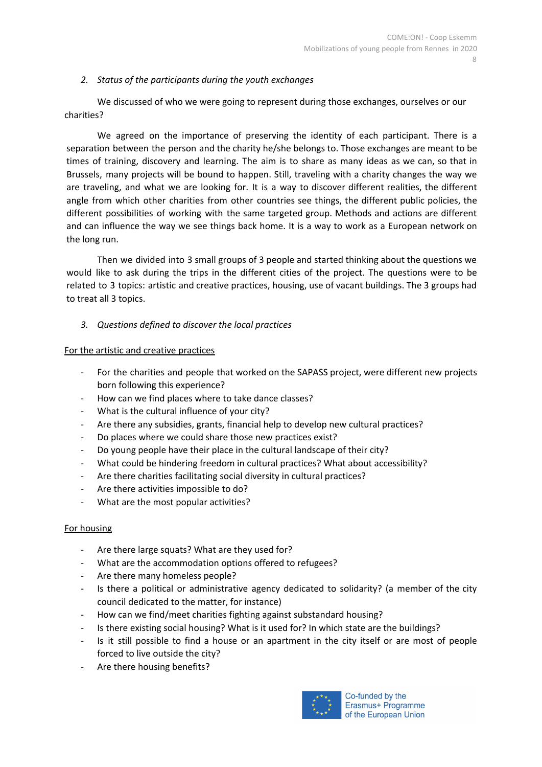#### <span id="page-7-0"></span>*2. Status of the participants during the youth exchanges*

We discussed of who we were going to represent during those exchanges, ourselves or our charities?

We agreed on the importance of preserving the identity of each participant. There is a separation between the person and the charity he/she belongs to. Those exchanges are meant to be times of training, discovery and learning. The aim is to share as many ideas as we can, so that in Brussels, many projects will be bound to happen. Still, traveling with a charity changes the way we are traveling, and what we are looking for. It is a way to discover different realities, the different angle from which other charities from other countries see things, the different public policies, the different possibilities of working with the same targeted group. Methods and actions are different and can influence the way we see things back home. It is a way to work as a European network on the long run.

Then we divided into 3 small groups of 3 people and started thinking about the questions we would like to ask during the trips in the different cities of the project. The questions were to be related to 3 topics: artistic and creative practices, housing, use of vacant buildings. The 3 groups had to treat all 3 topics.

<span id="page-7-1"></span>*3. Questions defined to discover the local practices*

#### <span id="page-7-2"></span>For the artistic and creative practices

- For the charities and people that worked on the SAPASS project, were different new projects born following this experience?
- How can we find places where to take dance classes?
- What is the cultural influence of your city?
- Are there any subsidies, grants, financial help to develop new cultural practices?
- Do places where we could share those new practices exist?
- Do young people have their place in the cultural landscape of their city?
- What could be hindering freedom in cultural practices? What about accessibility?
- Are there charities facilitating social diversity in cultural practices?
- Are there activities impossible to do?
- What are the most popular activities?

#### <span id="page-7-3"></span>For housing

- Are there large squats? What are they used for?
- What are the accommodation options offered to refugees?
- Are there many homeless people?
- Is there a political or administrative agency dedicated to solidarity? (a member of the city council dedicated to the matter, for instance)
- How can we find/meet charities fighting against substandard housing?
- Is there existing social housing? What is it used for? In which state are the buildings?
- Is it still possible to find a house or an apartment in the city itself or are most of people forced to live outside the city?
- Are there housing benefits?

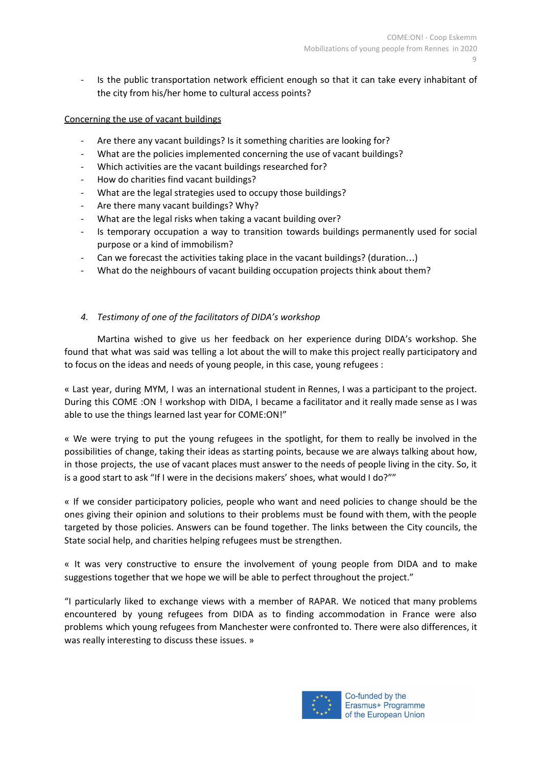Is the public transportation network efficient enough so that it can take every inhabitant of the city from his/her home to cultural access points?

## <span id="page-8-0"></span>Concerning the use of vacant buildings

- Are there any vacant buildings? Is it something charities are looking for?
- What are the policies implemented concerning the use of vacant buildings?
- Which activities are the vacant buildings researched for?
- How do charities find vacant buildings?
- What are the legal strategies used to occupy those buildings?
- Are there many vacant buildings? Why?
- What are the legal risks when taking a vacant building over?
- Is temporary occupation a way to transition towards buildings permanently used for social purpose or a kind of immobilism?
- Can we forecast the activities taking place in the vacant buildings? (duration...)
- What do the neighbours of vacant building occupation projects think about them?

## <span id="page-8-1"></span>*4. Testimony of one of the facilitators of DIDA's workshop*

Martina wished to give us her feedback on her experience during DIDA's workshop. She found that what was said was telling a lot about the will to make this project really participatory and to focus on the ideas and needs of young people, in this case, young refugees :

« Last year, during MYM, I was an international student in Rennes, I was a participant to the project. During this COME :ON ! workshop with DIDA, I became a facilitator and it really made sense as I was able to use the things learned last year for COME:ON!"

« We were trying to put the young refugees in the spotlight, for them to really be involved in the possibilities of change, taking their ideas as starting points, because we are always talking about how, in those projects, the use of vacant places must answer to the needs of people living in the city. So, it is a good start to ask "If I were in the decisions makers' shoes, what would I do?""

« If we consider participatory policies, people who want and need policies to change should be the ones giving their opinion and solutions to their problems must be found with them, with the people targeted by those policies. Answers can be found together. The links between the City councils, the State social help, and charities helping refugees must be strengthen.

« It was very constructive to ensure the involvement of young people from DIDA and to make suggestions together that we hope we will be able to perfect throughout the project."

"I particularly liked to exchange views with a member of RAPAR. We noticed that many problems encountered by young refugees from DIDA as to finding accommodation in France were also problems which young refugees from Manchester were confronted to. There were also differences, it was really interesting to discuss these issues. »

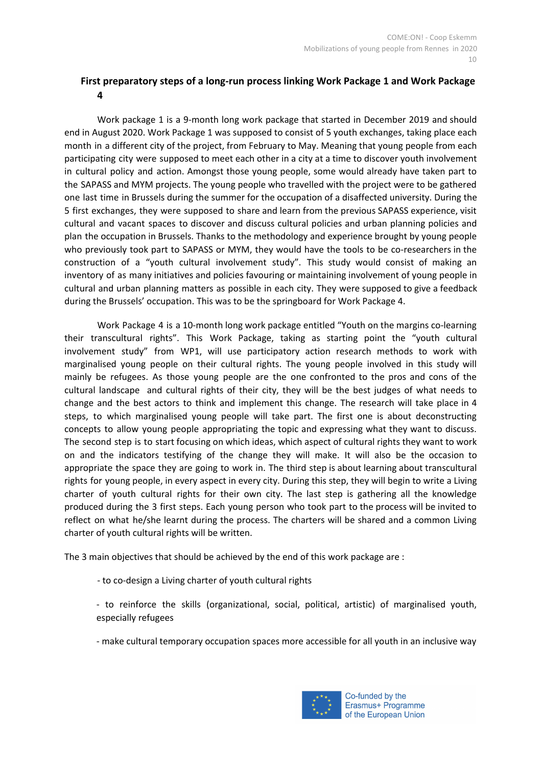# <span id="page-9-0"></span>**First preparatory steps of a long-run process linking Work Package 1 and Work Package 4**

Work package 1 is a 9-month long work package that started in December 2019 and should end in August 2020. Work Package 1 was supposed to consist of 5 youth exchanges, taking place each month in a different city of the project, from February to May. Meaning that young people from each participating city were supposed to meet each other in a city at a time to discover youth involvement in cultural policy and action. Amongst those young people, some would already have taken part to the SAPASS and MYM projects. The young people who travelled with the project were to be gathered one last time in Brussels during the summer for the occupation of a disaffected university. During the 5 first exchanges, they were supposed to share and learn from the previous SAPASS experience, visit cultural and vacant spaces to discover and discuss cultural policies and urban planning policies and plan the occupation in Brussels. Thanks to the methodology and experience brought by young people who previously took part to SAPASS or MYM, they would have the tools to be co-researchers in the construction of a "youth cultural involvement study". This study would consist of making an inventory of as many initiatives and policies favouring or maintaining involvement of young people in cultural and urban planning matters as possible in each city. They were supposed to give a feedback during the Brussels' occupation. This was to be the springboard for Work Package 4.

Work Package 4 is a 10-month long work package entitled "Youth on the margins co-learning their transcultural rights". This Work Package, taking as starting point the "youth cultural involvement study" from WP1, will use participatory action research methods to work with marginalised young people on their cultural rights. The young people involved in this study will mainly be refugees. As those young people are the one confronted to the pros and cons of the cultural landscape and cultural rights of their city, they will be the best judges of what needs to change and the best actors to think and implement this change. The research will take place in 4 steps, to which marginalised young people will take part. The first one is about deconstructing concepts to allow young people appropriating the topic and expressing what they want to discuss. The second step is to start focusing on which ideas, which aspect of cultural rights they want to work on and the indicators testifying of the change they will make. It will also be the occasion to appropriate the space they are going to work in. The third step is about learning about transcultural rights for young people, in every aspect in every city. During this step, they will begin to write a Living charter of youth cultural rights for their own city. The last step is gathering all the knowledge produced during the 3 first steps. Each young person who took part to the process will be invited to reflect on what he/she learnt during the process. The charters will be shared and a common Living charter of youth cultural rights will be written.

The 3 main objectives that should be achieved by the end of this work package are :

- to co-design a Living charter of youth cultural rights
- to reinforce the skills (organizational, social, political, artistic) of marginalised youth, especially refugees
- make cultural temporary occupation spaces more accessible for all youth in an inclusive way